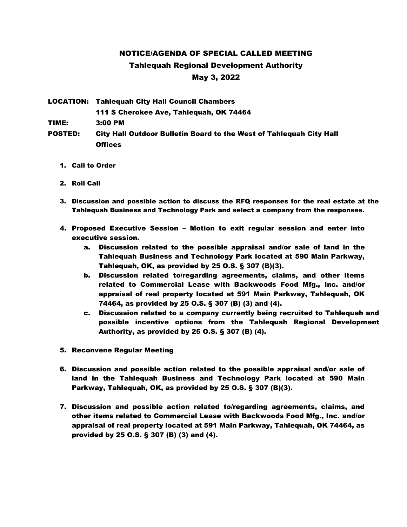## NOTICE/AGENDA OF SPECIAL CALLED MEETING Tahlequah Regional Development Authority May 3, 2022

LOCATION: Tahlequah City Hall Council Chambers 111 S Cherokee Ave, Tahlequah, OK 74464 TIME: 3:00 PM POSTED: City Hall Outdoor Bulletin Board to the West of Tahlequah City Hall Offices

- 1. Call to Order
- 2. Roll Call
- 3. Discussion and possible action to discuss the RFQ responses for the real estate at the Tahlequah Business and Technology Park and select a company from the responses.
- 4. Proposed Executive Session Motion to exit regular session and enter into executive session.
	- a. Discussion related to the possible appraisal and/or sale of land in the Tahlequah Business and Technology Park located at 590 Main Parkway, Tahlequah, OK, as provided by 25 O.S. § 307 (B)(3).
	- b. Discussion related to/regarding agreements, claims, and other items related to Commercial Lease with Backwoods Food Mfg., Inc. and/or appraisal of real property located at 591 Main Parkway, Tahlequah, OK 74464, as provided by 25 O.S. § 307 (B) (3) and (4).
	- c. Discussion related to a company currently being recruited to Tahlequah and possible incentive options from the Tahlequah Regional Development Authority, as provided by 25 O.S. § 307 (B) (4).
- 5. Reconvene Regular Meeting
- 6. Discussion and possible action related to the possible appraisal and/or sale of land in the Tahlequah Business and Technology Park located at 590 Main Parkway, Tahlequah, OK, as provided by 25 O.S. § 307 (B)(3).
- 7. Discussion and possible action related to/regarding agreements, claims, and other items related to Commercial Lease with Backwoods Food Mfg., Inc. and/or appraisal of real property located at 591 Main Parkway, Tahlequah, OK 74464, as provided by 25 O.S. § 307 (B) (3) and (4).